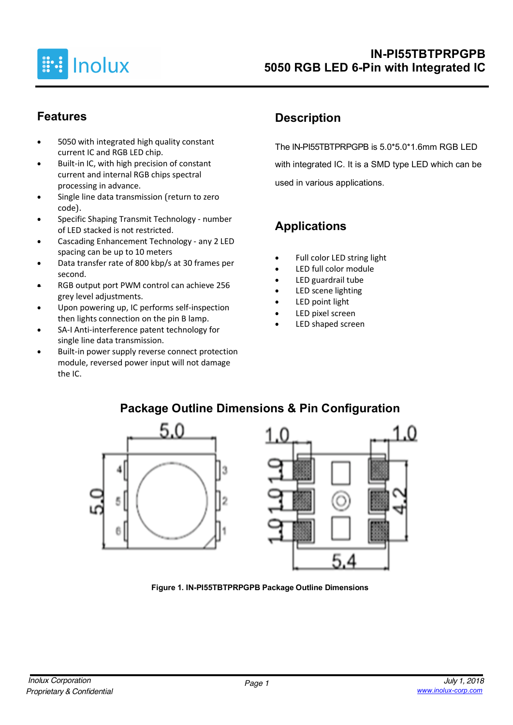

### **Features**

- 5050 with integrated high quality constant current IC and RGB LED chip.
- Built-in IC, with high precision of constant current and internal RGB chips spectral processing in advance.
- Single line data transmission (return to zero code).
- Specific Shaping Transmit Technology number of LED stacked is not restricted.
- Cascading Enhancement Technology any 2 LED spacing can be up to 10 meters
- Data transfer rate of 800 kbp/s at 30 frames per second.
- RGB output port PWM control can achieve 256 grey level adjustments.
- Upon powering up, IC performs self-inspection then lights connection on the pin B lamp.
- SA-I Anti-interference patent technology for single line data transmission.
- Built-in power supply reverse connect protection module, reversed power input will not damage the IC.

# **Description**

The IN-PI55TBTPRPGPB is 5.0\*5.0\*1.6mm RGB LED with integrated IC. It is a SMD type LED which can be used in various applications.

# **Applications**

- Full color LED string light
- LED full color module
- LED guardrail tube
- LED scene lighting
- LED point light
- LED pixel screen
- LED shaped screen



## **Package Outline Dimensions & Pin Configuration**

**Figure 1. IN-PI55TBTPRPGPB Package Outline Dimensions**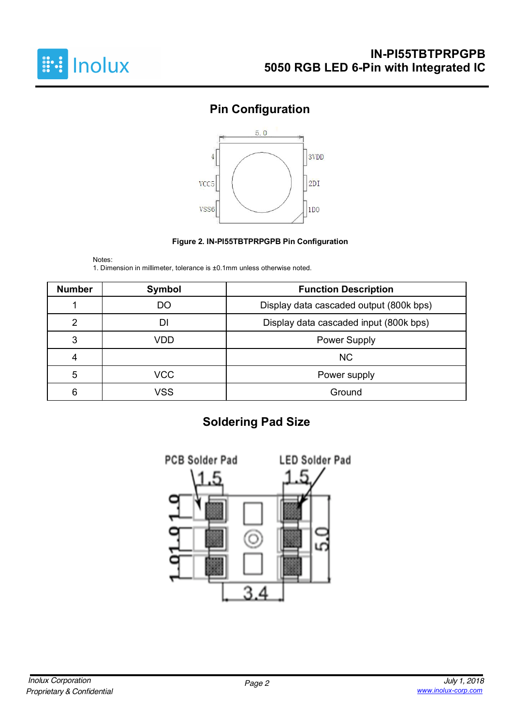

# **Pin Configuration**



#### **Figure 2. IN-PI55TBTPRPGPB Pin Configuration**

Notes: 1. Dimension in millimeter, tolerance is ±0.1mm unless otherwise noted.

| <b>Number</b>                                    | Symbol                                        | <b>Function Description</b> |  |  |  |
|--------------------------------------------------|-----------------------------------------------|-----------------------------|--|--|--|
|                                                  | Display data cascaded output (800k bps)<br>DO |                             |  |  |  |
| 2<br>Display data cascaded input (800k bps)<br>D |                                               |                             |  |  |  |
| 3<br>VDD<br><b>Power Supply</b>                  |                                               |                             |  |  |  |
| 4                                                |                                               | <b>NC</b>                   |  |  |  |
| 5                                                | VCC                                           | Power supply                |  |  |  |
| 6                                                | VSS                                           | Ground                      |  |  |  |

## **Soldering Pad Size**

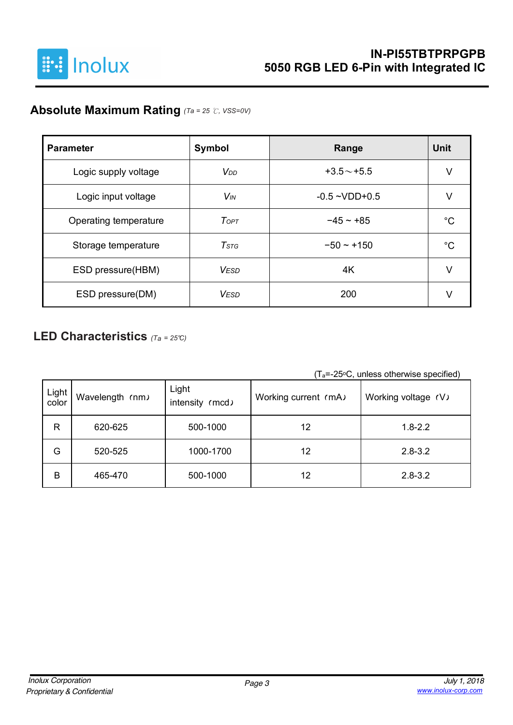

### **Absolute Maximum Rating** *(Ta = 25* ℃*, VSS=0V)*

| <b>Parameter</b>      | <b>Symbol</b>         | Range              | <b>Unit</b> |
|-----------------------|-----------------------|--------------------|-------------|
| Logic supply voltage  | V <sub>DD</sub>       | $+3.5 \sim +5.5$   | V           |
| Logic input voltage   | <b>V<sub>IN</sub></b> | $-0.5 - VDD + 0.5$ | V           |
| Operating temperature | ToPT                  | $-45 - +85$        | °C          |
| Storage temperature   | $T$ stg               | $-50 - +150$       | °C          |
| ESD pressure(HBM)     | <b>VESD</b>           | 4K                 | V           |
| ESD pressure(DM)      | <b>VESD</b>           | 200                |             |

### **LED Characteristics** *(Ta <sup>=</sup> 25°C)*

 $(T_a=-25\degree C,$  unless otherwise specified)

| Light<br>color | Wavelength (nm) | Light<br>intensity (mcd) | Working current (mA) | Working voltage (V) |  |  |
|----------------|-----------------|--------------------------|----------------------|---------------------|--|--|
| $\mathsf{R}$   | 620-625         | 500-1000                 | 12                   | $1.8 - 2.2$         |  |  |
| G              | 520-525         | 1000-1700                | 12                   | $2.8 - 3.2$         |  |  |
| B              | 465-470         | 500-1000                 | 12                   | $2.8 - 3.2$         |  |  |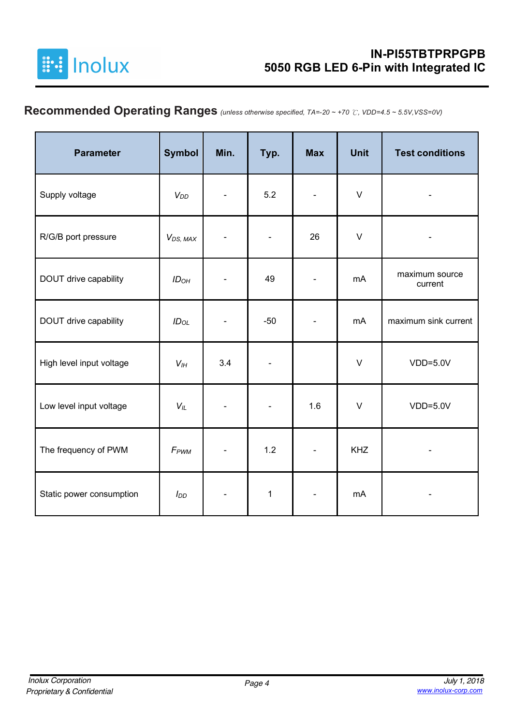

# **Recommended Operating Ranges** *(unless otherwise specified, TA=-20 ~ +70* ℃*, VDD=4.5 ~ 5.5V,VSS=0V)*

| <b>Parameter</b>         | <b>Symbol</b>         | Min. | Typ.         | <b>Max</b>               | <b>Unit</b> | <b>Test conditions</b>    |
|--------------------------|-----------------------|------|--------------|--------------------------|-------------|---------------------------|
| Supply voltage           | $V_{DD}$              |      | 5.2          | $\blacksquare$           | $\vee$      |                           |
| R/G/B port pressure      | V <sub>DS</sub> , MAX |      |              | 26                       | $\vee$      |                           |
| DOUT drive capability    | ID <sub>OH</sub>      |      | 49           |                          | mA          | maximum source<br>current |
| DOUT drive capability    | $ID_{OL}$             |      | $-50$        |                          | mA          | maximum sink current      |
| High level input voltage | $V_{I}$               | 3.4  |              |                          | $\vee$      | $VDD=5.0V$                |
| Low level input voltage  | $V_L$                 |      |              | 1.6                      | $\vee$      | $VDD=5.0V$                |
| The frequency of PWM     | F <sub>PWM</sub>      |      | 1.2          | $\overline{\phantom{a}}$ | <b>KHZ</b>  |                           |
| Static power consumption | $I_{DD}$              |      | $\mathbf{1}$ |                          | mA          |                           |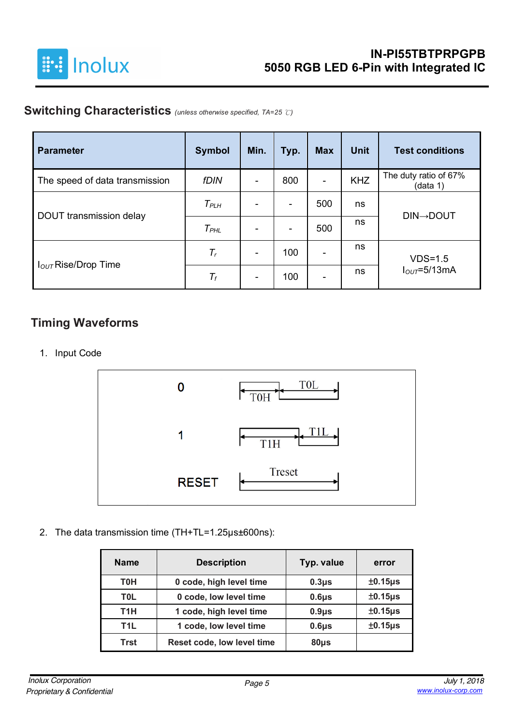

## **Switching Characteristics** *(unless otherwise specified, TA=25* ℃*)*

| <b>Parameter</b>                | <b>Symbol</b> | Min.           | Typ. | <b>Max</b>               | <b>Unit</b> | <b>Test conditions</b>            |
|---------------------------------|---------------|----------------|------|--------------------------|-------------|-----------------------------------|
| The speed of data transmission  | <b>fDIN</b>   | $\blacksquare$ | 800  | $\blacksquare$           | <b>KHZ</b>  | The duty ratio of 67%<br>(data 1) |
|                                 | $T_{PLH}$     | ۰              | ۰    | 500                      | ns          | <b>DIN→DOUT</b>                   |
| DOUT transmission delay         | $T_{PHL}$     | ۰              | -    | 500                      | ns          |                                   |
|                                 | $T_r$         | -              | 100  | $\overline{\phantom{a}}$ | ns          | $VDS=1.5$                         |
| I <sub>OUT</sub> Rise/Drop Time | $T_f$         | $\blacksquare$ | 100  | ٠                        | ns          | $IOUT=5/13mA$                     |

### **Timing Waveforms**

1. Input Code



2. The data transmission time (TH+TL=1.25µs±600ns):

| <b>Name</b>      | <b>Description</b>         | Typ. value | error        |
|------------------|----------------------------|------------|--------------|
| <b>T0H</b>       | 0 code, high level time    | $0.3\mu$ s | $±0.15\mu s$ |
| T <sub>0</sub> L | 0 code, low level time     | $0.6\mu$ s | $±0.15\mu s$ |
| T <sub>1</sub> H | 1 code, high level time    | $0.9\mu$ s | $±0.15\mu s$ |
| T <sub>1</sub> L | 1 code, low level time     | $0.6\mu$ s | $±0.15\mu s$ |
| <b>Trst</b>      | Reset code, low level time | $80µ$ s    |              |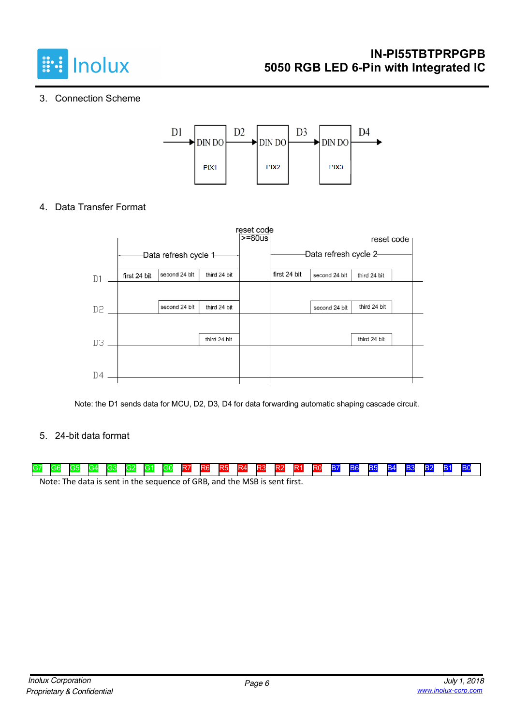

#### 3. Connection Scheme



4. Data Transfer Format

|          |              |                        |              | reset code<br>$>= 80$ us |              |                        | reset code   |  |
|----------|--------------|------------------------|--------------|--------------------------|--------------|------------------------|--------------|--|
|          |              | -Data refresh cycle 1- |              |                          |              | -Data refresh cycle 2- |              |  |
| D1       | first 24 bit | second 24 blt          | third 24 bit |                          | first 24 bit | second 24 blt          | third 24 bit |  |
|          |              |                        |              |                          |              |                        |              |  |
| D2       |              | second 24 blt          | third 24 bit |                          |              | second 24 blt          | third 24 bit |  |
|          |              |                        |              |                          |              |                        |              |  |
| D3       |              |                        | third 24 bit |                          |              |                        | third 24 bit |  |
|          |              |                        |              |                          |              |                        |              |  |
| $\Box$ 4 |              |                        |              |                          |              |                        |              |  |

Note: the D1 sends data for MCU, D2, D3, D4 for data forwarding automatic shaping cascade circuit.

#### 5. 24-bit data format

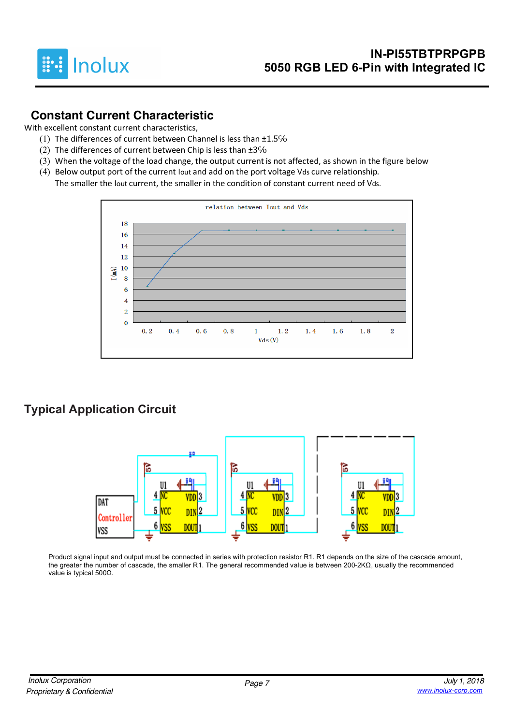

#### **Constant Current Characteristic**

With excellent constant current characteristics,

- (1) The differences of current between Channel is less than ±1.5%
- (2) The differences of current between Chip is less than  $\pm 3\%$
- (3) When the voltage of the load change, the output current is not affected, as shown in the figure below
- (4) Below output port of the current Iout and add on the port voltage Vds curve relationship. The smaller the Iout current, the smaller in the condition of constant current need of Vds.



## **Typical Application Circuit**



Product signal input and output must be connected in series with protection resistor R1. R1 depends on the size of the cascade amount, the greater the number of cascade, the smaller R1. The general recommended value is between 200-2KΩ, usually the recommended value is typical 500Ω.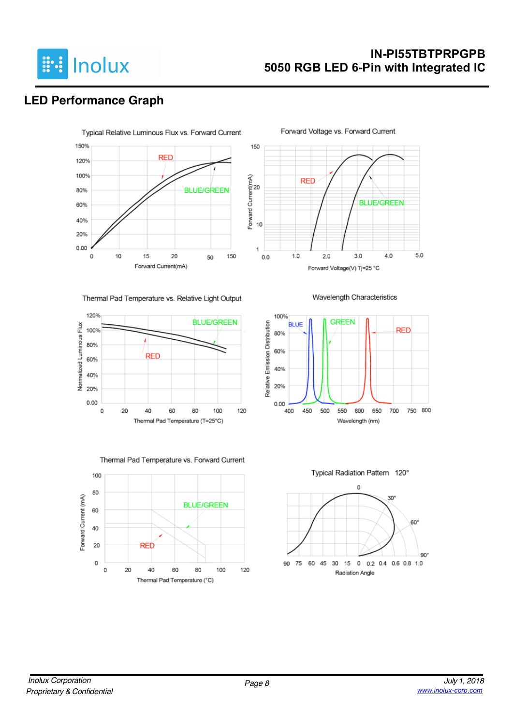

#### **IN-PI55TBTPRPGPB 5050 RGB LED 6-Pin with Integrated IC**

**BLUE/GREEN** 

 $4.0$ 

5.0

Forward Voltage vs. Forward Current

**RED** 

 $1.0$ 

 $2.0$ 

 $3.0$ 

Wavelength Characteristics

Forward Voltage(V) Tj=25 °C

## **LED Performance Graph**



Thermal Pad Temperature vs. Relative Light Output





Thermal Pad Temperature vs. Forward Current



Typical Radiation Pattern 120°

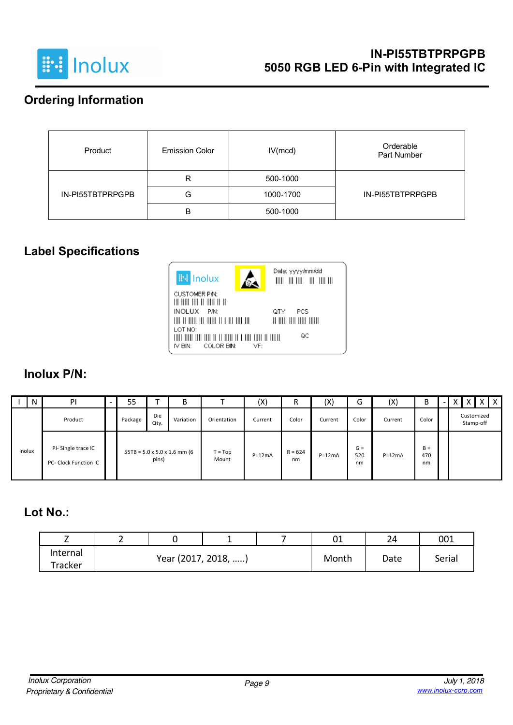

## **Ordering Information**

| Product          | <b>Emission Color</b> | IV(mcd)   | Orderable<br>Part Number |
|------------------|-----------------------|-----------|--------------------------|
|                  | R                     | 500-1000  |                          |
| IN-PI55TBTPRPGPB | G                     | 1000-1700 | IN-PI55TBTPRPGPB         |
|                  | B                     | 500-1000  |                          |

# **Label Specifications**



#### **Inolux P/N:**

|        | N | PI                                          | - | 55      |             | B                                                |                    | (X)      | R               | (X)      | ∽<br>G             | (X)      | B                  | $\overline{\phantom{0}}$ |  | $\wedge$ I              | $X$   $X$ |
|--------|---|---------------------------------------------|---|---------|-------------|--------------------------------------------------|--------------------|----------|-----------------|----------|--------------------|----------|--------------------|--------------------------|--|-------------------------|-----------|
|        |   | Product                                     |   | Package | Die<br>Qty. | Variation                                        | Orientation        | Current  | Color           | Current  | Color              | Current  | Color              |                          |  | Customized<br>Stamp-off |           |
| Inolux |   | PI-Single trace IC<br>PC- Clock Function IC |   |         | pins)       | $55TB = 5.0 \times 5.0 \times 1.6 \text{ mm}$ (6 | $T = Top$<br>Mount | $P=12mA$ | $R = 624$<br>nm | $P=12mA$ | $G =$<br>520<br>nm | $P=12mA$ | $B =$<br>470<br>nm |                          |  |                         |           |

### **Lot No.:**

| -             | -                   |  |  |  | 01    | 24     | 001 |
|---------------|---------------------|--|--|--|-------|--------|-----|
| Internal      |                     |  |  |  |       | Serial |     |
| $\tau$ racker | Year (2017, 2018, ) |  |  |  | Month | Date   |     |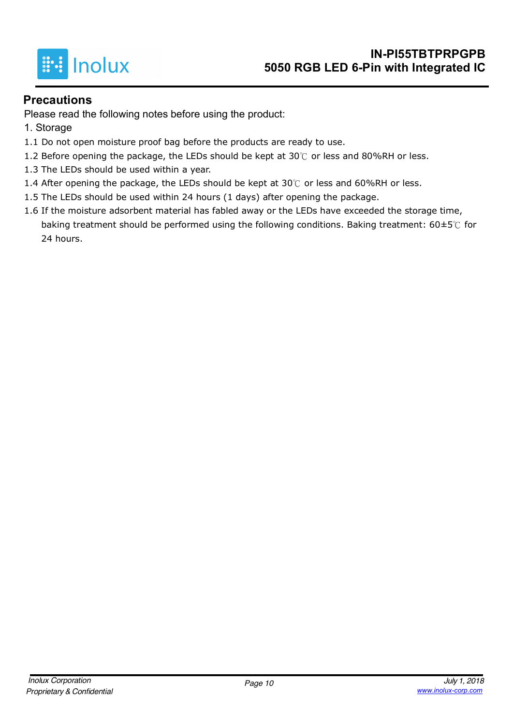

#### **Precautions**

Please read the following notes before using the product:

- 1. Storage
- 1.1 Do not open moisture proof bag before the products are ready to use.
- 1.2 Before opening the package, the LEDs should be kept at 30 $°C$  or less and 80%RH or less.
- 1.3 The LEDs should be used within a year.
- 1.4 After opening the package, the LEDs should be kept at 30℃ or less and 60%RH or less.
- 1.5 The LEDs should be used within 24 hours (1 days) after opening the package.
- 1.6 If the moisture adsorbent material has fabled away or the LEDs have exceeded the storage time, baking treatment should be performed using the following conditions. Baking treatment:  $60\pm5\degree$  for 24 hours.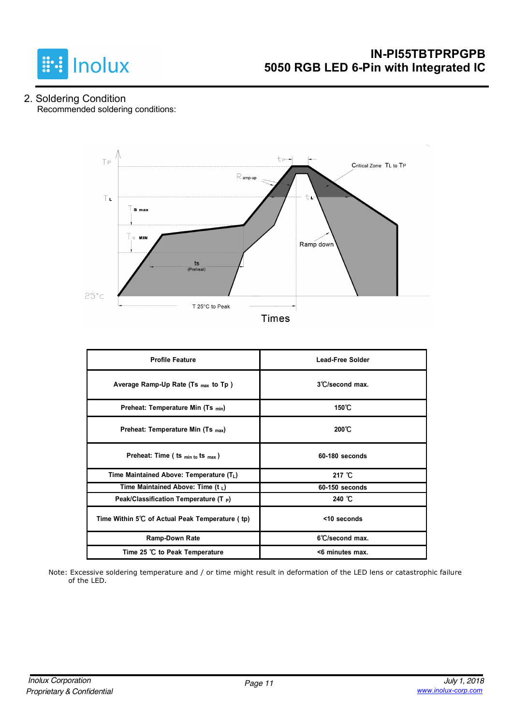

#### 2. Soldering Condition Recommended soldering conditions:



| <b>Profile Feature</b>                          | <b>Lead-Free Solder</b> |
|-------------------------------------------------|-------------------------|
| Average Ramp-Up Rate (Ts $_{max}$ to Tp)        | 3°C/second max.         |
| Preheat: Temperature Min (Ts <sub>min</sub> )   | 150°C                   |
| Preheat: Temperature Min (Ts <sub>max</sub> )   | $200^{\circ}$ C         |
| Preheat: Time ( ts $_{min\ to}$ ts $_{max}$ )   | $60-180$ seconds        |
| Time Maintained Above: Temperature $(T_L)$      | 217 $°C$                |
| Time Maintained Above: Time (t $_L$ )           | 60-150 seconds          |
| Peak/Classification Temperature (T P)           | 240 $^{\circ}$ C        |
| Time Within 5°C of Actual Peak Temperature (tp) | <10 seconds             |
| <b>Ramp-Down Rate</b>                           | 6°C/second max.         |
| Time 25 ℃ to Peak Temperature                   | <6 minutes max.         |

Note: Excessive soldering temperature and / or time might result in deformation of the LED lens or catastrophic failure of the LED.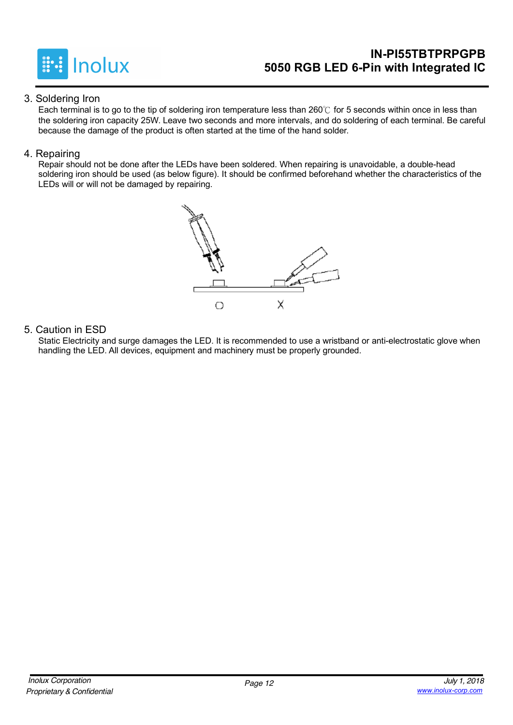

### **IN-PI55TBTPRPGPB 5050 RGB LED 6-Pin with Integrated IC**

#### 3. Soldering Iron

Each terminal is to go to the tip of soldering iron temperature less than 260℃ for 5 seconds within once in less than the soldering iron capacity 25W. Leave two seconds and more intervals, and do soldering of each terminal. Be careful because the damage of the product is often started at the time of the hand solder.

#### 4. Repairing

Repair should not be done after the LEDs have been soldered. When repairing is unavoidable, a double-head soldering iron should be used (as below figure). It should be confirmed beforehand whether the characteristics of the LEDs will or will not be damaged by repairing.



#### 5. Caution in ESD

Static Electricity and surge damages the LED. It is recommended to use a wristband or anti-electrostatic glove when handling the LED. All devices, equipment and machinery must be properly grounded.